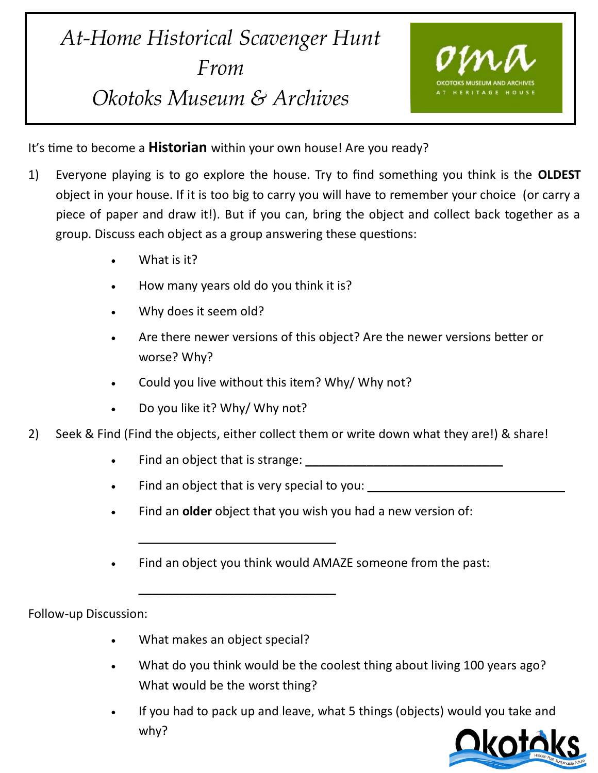## *At-Home Historical Scavenger Hunt From Okotoks Museum & Archives*



It's time to become a **Historian** within your own house! Are you ready?

- 1) Everyone playing is to go explore the house. Try to find something you think is the **OLDEST**  object in your house. If it is too big to carry you will have to remember your choice (or carry a piece of paper and draw it!). But if you can, bring the object and collect back together as a group. Discuss each object as a group answering these questions:
	- What is it?
	- How many years old do you think it is?
	- Why does it seem old?
	- Are there newer versions of this object? Are the newer versions better or worse? Why?
	- Could you live without this item? Why/ Why not?
	- Do you like it? Why/ Why not?
- 2) Seek & Find (Find the objects, either collect them or write down what they are!) & share!
	- Find an object that is strange:  $\Box$
	- Find an object that is very special to you:

 $\overline{\phantom{a}}$  , where  $\overline{\phantom{a}}$  , where  $\overline{\phantom{a}}$  , where  $\overline{\phantom{a}}$  , where  $\overline{\phantom{a}}$ 

 $\overline{\phantom{a}}$  , where  $\overline{\phantom{a}}$  , where  $\overline{\phantom{a}}$  , where  $\overline{\phantom{a}}$  , where  $\overline{\phantom{a}}$ 

- Find an **older** object that you wish you had a new version of:
- Find an object you think would AMAZE someone from the past:

Follow-up Discussion:

- What makes an object special?
- What do you think would be the coolest thing about living 100 years ago? What would be the worst thing?
- If you had to pack up and leave, what 5 things (objects) would you take and why?